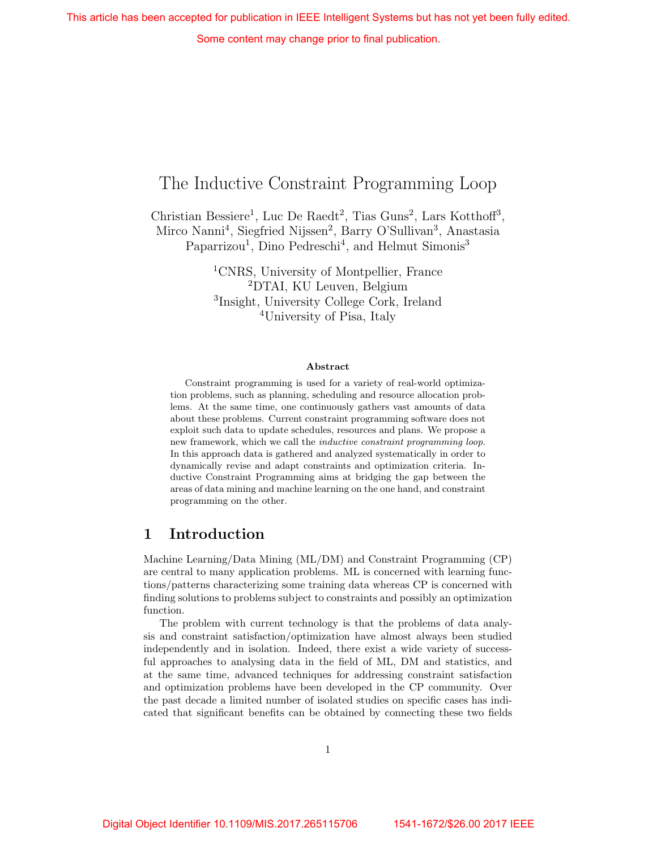# The Inductive Constraint Programming Loop

Christian Bessiere<sup>1</sup>, Luc De Raedt<sup>2</sup>, Tias Guns<sup>2</sup>, Lars Kotthoff<sup>3</sup>, Mirco Nanni<sup>4</sup>, Siegfried Nijssen<sup>2</sup>, Barry O'Sullivan<sup>3</sup>, Anastasia Paparrizou<sup>1</sup>, Dino Pedreschi<sup>4</sup>, and Helmut Simonis<sup>3</sup>

> CNRS, University of Montpellier, France DTAI, KU Leuven, Belgium Insight, University College Cork, Ireland University of Pisa, Italy

#### Abstract

Constraint programming is used for a variety of real-world optimization problems, such as planning, scheduling and resource allocation problems. At the same time, one continuously gathers vast amounts of data about these problems. Current constraint programming software does not exploit such data to update schedules, resources and plans. We propose a new framework, which we call the inductive constraint programming loop. In this approach data is gathered and analyzed systematically in order to dynamically revise and adapt constraints and optimization criteria. Inductive Constraint Programming aims at bridging the gap between the areas of data mining and machine learning on the one hand, and constraint programming on the other.

## 1 Introduction

Machine Learning/Data Mining (ML/DM) and Constraint Programming (CP) are central to many application problems. ML is concerned with learning functions/patterns characterizing some training data whereas CP is concerned with finding solutions to problems subject to constraints and possibly an optimization function.

The problem with current technology is that the problems of data analysis and constraint satisfaction/optimization have almost always been studied independently and in isolation. Indeed, there exist a wide variety of successful approaches to analysing data in the field of ML, DM and statistics, and at the same time, advanced techniques for addressing constraint satisfaction and optimization problems have been developed in the CP community. Over the past decade a limited number of isolated studies on specific cases has indicated that significant benefits can be obtained by connecting these two fields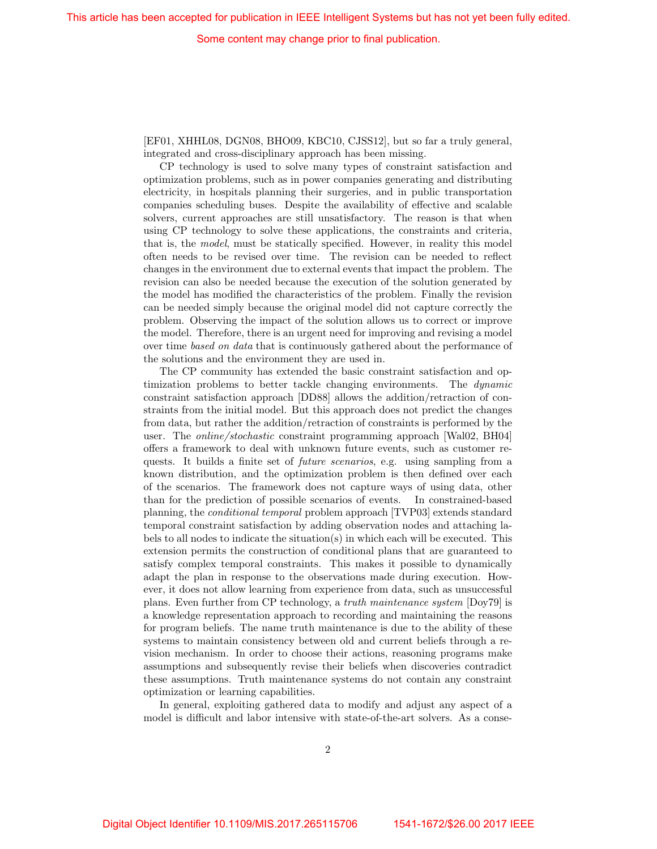Some content may change prior to final publication.

[EF01, XHHL08, DGN08, BHO09, KBC10, CJSS12], but so far a truly general, integrated and cross-disciplinary approach has been missing.

CP technology is used to solve many types of constraint satisfaction and optimization problems, such as in power companies generating and distributing electricity, in hospitals planning their surgeries, and in public transportation companies scheduling buses. Despite the availability of effective and scalable solvers, current approaches are still unsatisfactory. The reason is that when using CP technology to solve these applications, the constraints and criteria, that is, the model, must be statically specified. However, in reality this model often needs to be revised over time. The revision can be needed to reflect changes in the environment due to external events that impact the problem. The revision can also be needed because the execution of the solution generated by the model has modified the characteristics of the problem. Finally the revision can be needed simply because the original model did not capture correctly the problem. Observing the impact of the solution allows us to correct or improve the model. Therefore, there is an urgent need for improving and revising a model over time based on data that is continuously gathered about the performance of the solutions and the environment they are used in.

The CP community has extended the basic constraint satisfaction and optimization problems to better tackle changing environments. The *dynamic* constraint satisfaction approach [DD88] allows the addition/retraction of constraints from the initial model. But this approach does not predict the changes from data, but rather the addition/retraction of constraints is performed by the user. The online/stochastic constraint programming approach [Wal02, BH04] offers a framework to deal with unknown future events, such as customer requests. It builds a finite set of future scenarios, e.g. using sampling from a known distribution, and the optimization problem is then defined over each of the scenarios. The framework does not capture ways of using data, other than for the prediction of possible scenarios of events. In constrained-based planning, the conditional temporal problem approach [TVP03] extends standard temporal constraint satisfaction by adding observation nodes and attaching labels to all nodes to indicate the situation(s) in which each will be executed. This extension permits the construction of conditional plans that are guaranteed to satisfy complex temporal constraints. This makes it possible to dynamically adapt the plan in response to the observations made during execution. However, it does not allow learning from experience from data, such as unsuccessful plans. Even further from CP technology, a truth maintenance system [Doy79] is a knowledge representation approach to recording and maintaining the reasons for program beliefs. The name truth maintenance is due to the ability of these systems to maintain consistency between old and current beliefs through a revision mechanism. In order to choose their actions, reasoning programs make assumptions and subsequently revise their beliefs when discoveries contradict these assumptions. Truth maintenance systems do not contain any constraint optimization or learning capabilities.

In general, exploiting gathered data to modify and adjust any aspect of a model is difficult and labor intensive with state-of-the-art solvers. As a conse-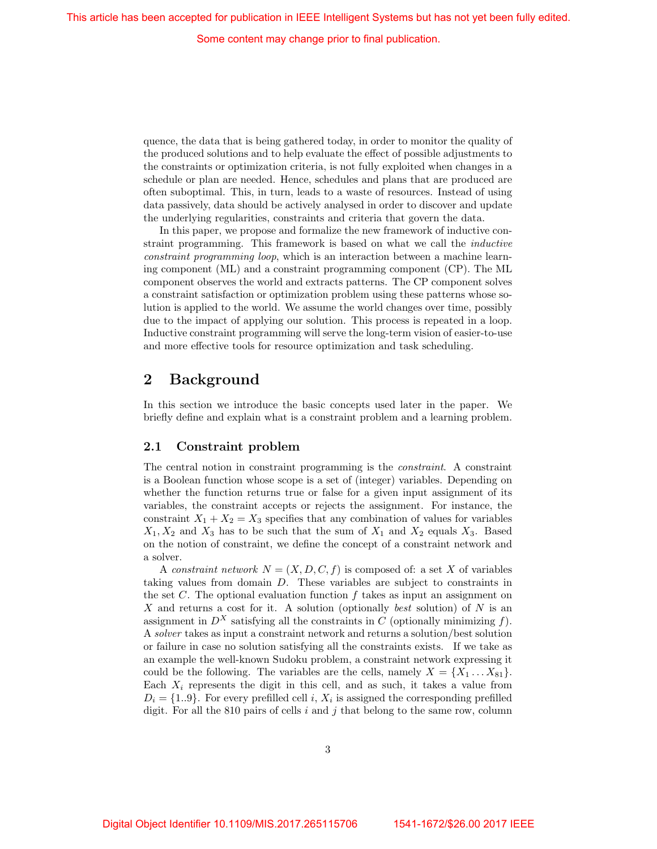quence, the data that is being gathered today, in order to monitor the quality of the produced solutions and to help evaluate the effect of possible adjustments to the constraints or optimization criteria, is not fully exploited when changes in a schedule or plan are needed. Hence, schedules and plans that are produced are often suboptimal. This, in turn, leads to a waste of resources. Instead of using data passively, data should be actively analysed in order to discover and update the underlying regularities, constraints and criteria that govern the data.

In this paper, we propose and formalize the new framework of inductive constraint programming. This framework is based on what we call the inductive constraint programming loop, which is an interaction between a machine learning component (ML) and a constraint programming component (CP). The ML component observes the world and extracts patterns. The CP component solves a constraint satisfaction or optimization problem using these patterns whose solution is applied to the world. We assume the world changes over time, possibly due to the impact of applying our solution. This process is repeated in a loop. Inductive constraint programming will serve the long-term vision of easier-to-use and more effective tools for resource optimization and task scheduling.

## 2 Background

In this section we introduce the basic concepts used later in the paper. We briefly define and explain what is a constraint problem and a learning problem.

### 2.1 Constraint problem

The central notion in constraint programming is the constraint. A constraint is a Boolean function whose scope is a set of (integer) variables. Depending on whether the function returns true or false for a given input assignment of its variables, the constraint accepts or rejects the assignment. For instance, the constraint  $X_1 + X_2 = X_3$  specifies that any combination of values for variables  $X_1, X_2$  and  $X_3$  has to be such that the sum of  $X_1$  and  $X_2$  equals  $X_3$ . Based on the notion of constraint, we define the concept of a constraint network and a solver.

A constraint network  $N = (X, D, C, f)$  is composed of: a set X of variables taking values from domain D. These variables are subject to constraints in the set  $C$ . The optional evaluation function  $f$  takes as input an assignment on X and returns a cost for it. A solution (optionally *best* solution) of  $N$  is an assignment in  $D^X$  satisfying all the constraints in C (optionally minimizing f). A solver takes as input a constraint network and returns a solution/best solution or failure in case no solution satisfying all the constraints exists. If we take as an example the well-known Sudoku problem, a constraint network expressing it could be the following. The variables are the cells, namely  $X = \{X_1 \dots X_{81}\}.$ Each  $X_i$  represents the digit in this cell, and as such, it takes a value from  $D_i = \{1..9\}$ . For every prefilled cell i,  $X_i$  is assigned the corresponding prefilled digit. For all the 810 pairs of cells  $i$  and  $j$  that belong to the same row, column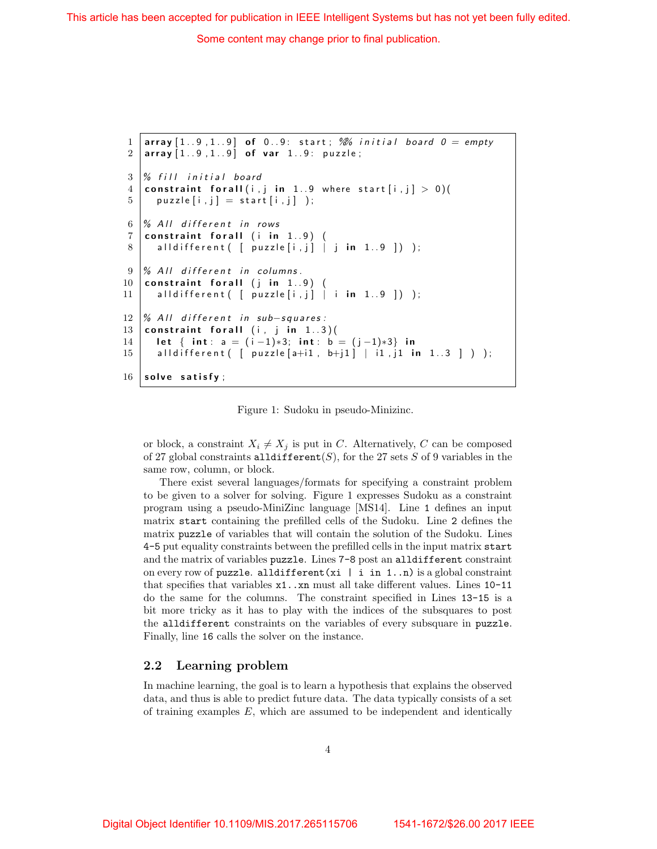Some content may change prior to final publication.

```
1 \vert array [1..9,1..9] of 0..9: start; \% initial board 0 = \text{empty}2 \mid array [1..9, 1..9] of var 1..9: puzzle;
3 % f i l l i n i t i a l b oa r d
4 constraint for all (i, j in 1..9 where start [i, j] > 0) (
5 | puzzle [i, j] = start [i, j] );
6 \mid \% All different in rows
7 constraint for all (i in 1..9) (
8 all different ( [ puzzle [i, j] | j in 1..9 ]) );
9 | % All different in columns.
10 constraint for all (j in 1..9) (
11 all different ( [ puzzle [i, j] | i in 1..9 ]) );
12 <sup>%</sup> All different in sub-squares:
13 | constraint for all (i, j in 1..3)14 | let { int: a = (i-1)*3; int: b = (j-1)*3} in
15 | all different ( [ puzzle [a+i1, b+j1] | i1, j1 in 1..3 ] ) );
16 solve satisfy;
```
Figure 1: Sudoku in pseudo-Minizinc.

or block, a constraint  $X_i \neq X_j$  is put in C. Alternatively, C can be composed of 27 global constraints alldifferent(S), for the 27 sets S of 9 variables in the same row, column, or block.

There exist several languages/formats for specifying a constraint problem to be given to a solver for solving. Figure 1 expresses Sudoku as a constraint program using a pseudo-MiniZinc language [MS14]. Line 1 defines an input matrix start containing the prefilled cells of the Sudoku. Line 2 defines the matrix puzzle of variables that will contain the solution of the Sudoku. Lines 4-5 put equality constraints between the prefilled cells in the input matrix start and the matrix of variables puzzle. Lines 7-8 post an alldifferent constraint on every row of puzzle. alldifferent  $(xi \mid i \in 1..n)$  is a global constraint that specifies that variables x1..xn must all take different values. Lines 10-11 do the same for the columns. The constraint specified in Lines 13-15 is a bit more tricky as it has to play with the indices of the subsquares to post the alldifferent constraints on the variables of every subsquare in puzzle. Finally, line 16 calls the solver on the instance.

### 2.2 Learning problem

In machine learning, the goal is to learn a hypothesis that explains the observed data, and thus is able to predict future data. The data typically consists of a set of training examples  $E$ , which are assumed to be independent and identically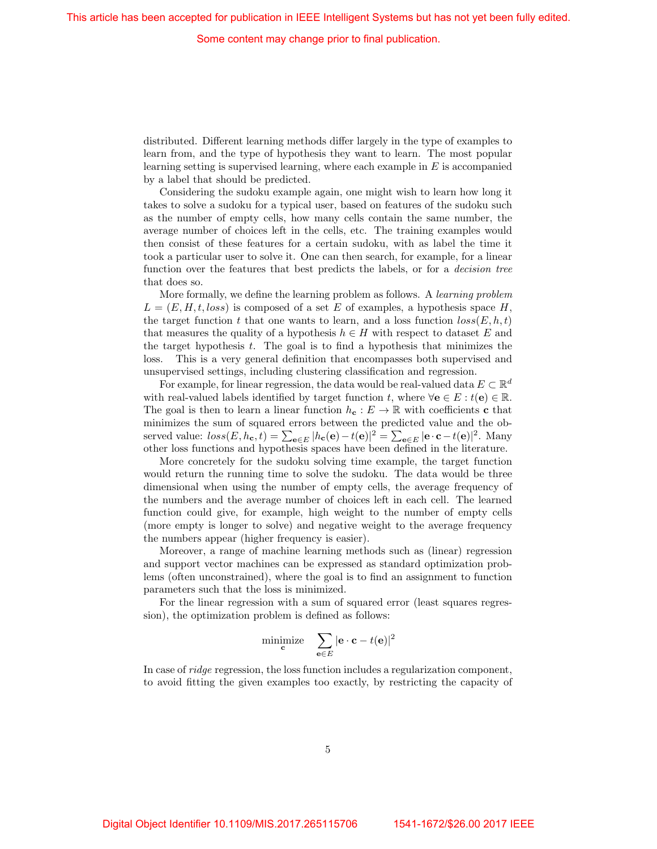Some content may change prior to final publication.

distributed. Different learning methods differ largely in the type of examples to learn from, and the type of hypothesis they want to learn. The most popular learning setting is supervised learning, where each example in E is accompanied by a label that should be predicted.

Considering the sudoku example again, one might wish to learn how long it takes to solve a sudoku for a typical user, based on features of the sudoku such as the number of empty cells, how many cells contain the same number, the average number of choices left in the cells, etc. The training examples would then consist of these features for a certain sudoku, with as label the time it took a particular user to solve it. One can then search, for example, for a linear function over the features that best predicts the labels, or for a *decision tree* that does so.

More formally, we define the learning problem as follows. A learning problem  $L = (E, H, t, loss)$  is composed of a set E of examples, a hypothesis space H, the target function t that one wants to learn, and a loss function  $loss(E, h, t)$ that measures the quality of a hypothesis  $h \in H$  with respect to dataset E and the target hypothesis  $t$ . The goal is to find a hypothesis that minimizes the loss. This is a very general definition that encompasses both supervised and unsupervised settings, including clustering classification and regression.

For example, for linear regression, the data would be real-valued data  $E \subset \mathbb{R}^d$ with real-valued labels identified by target function t, where  $\forall e \in E : t(e) \in \mathbb{R}$ . The goal is then to learn a linear function  $h_{\mathbf{c}} : E \to \mathbb{R}$  with coefficients **c** that minimizes the sum of squared errors between the predicted value and the observed value:  $loss(E, h_c, t) = \sum_{e \in E} |h_c(e) - t(e)|^2 = \sum_{e \in E} |e \cdot c - t(e)|^2$ . Many other loss functions and hypothesis spaces have been defined in the literature.

More concretely for the sudoku solving time example, the target function would return the running time to solve the sudoku. The data would be three dimensional when using the number of empty cells, the average frequency of the numbers and the average number of choices left in each cell. The learned function could give, for example, high weight to the number of empty cells (more empty is longer to solve) and negative weight to the average frequency the numbers appear (higher frequency is easier).

Moreover, a range of machine learning methods such as (linear) regression and support vector machines can be expressed as standard optimization problems (often unconstrained), where the goal is to find an assignment to function parameters such that the loss is minimized.

For the linear regression with a sum of squared error (least squares regression), the optimization problem is defined as follows:

$$
\underset{\mathbf{c}}{\text{minimize}} \quad \sum_{\mathbf{e} \in E} |\mathbf{e} \cdot \mathbf{c} - t(\mathbf{e})|^2
$$

In case of ridge regression, the loss function includes a regularization component, to avoid fitting the given examples too exactly, by restricting the capacity of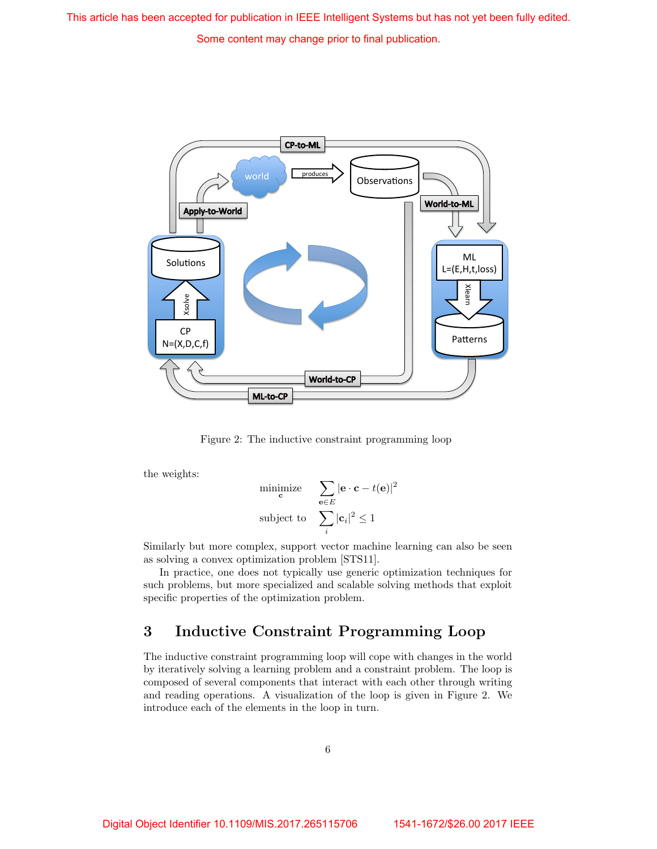This article has been accepted for publication in IEEE Intelligent Systems but has not yet been fully edited. Some content may change prior to final publication.



Figure 2: The inductive constraint programming loop

the weights:

$$
\begin{aligned}\n\text{minimize} & \quad \sum_{\mathbf{e} \in E} |\mathbf{e} \cdot \mathbf{c} - t(\mathbf{e})|^2 \\
\text{subject to} & \quad \sum_{i} |\mathbf{c}_i|^2 \le 1\n\end{aligned}
$$

Similarly but more complex, support vector machine learning can also be seen as solving a convex optimization problem [STS11].

In practice, one does not typically use generic optimization techniques for such problems, but more specialized and scalable solving methods that exploit specific properties of the optimization problem.

## 3 Inductive Constraint Programming Loop

The inductive constraint programming loop will cope with changes in the world by iteratively solving a learning problem and a constraint problem. The loop is composed of several components that interact with each other through writing and reading operations. A visualization of the loop is given in Figure 2. We introduce each of the elements in the loop in turn.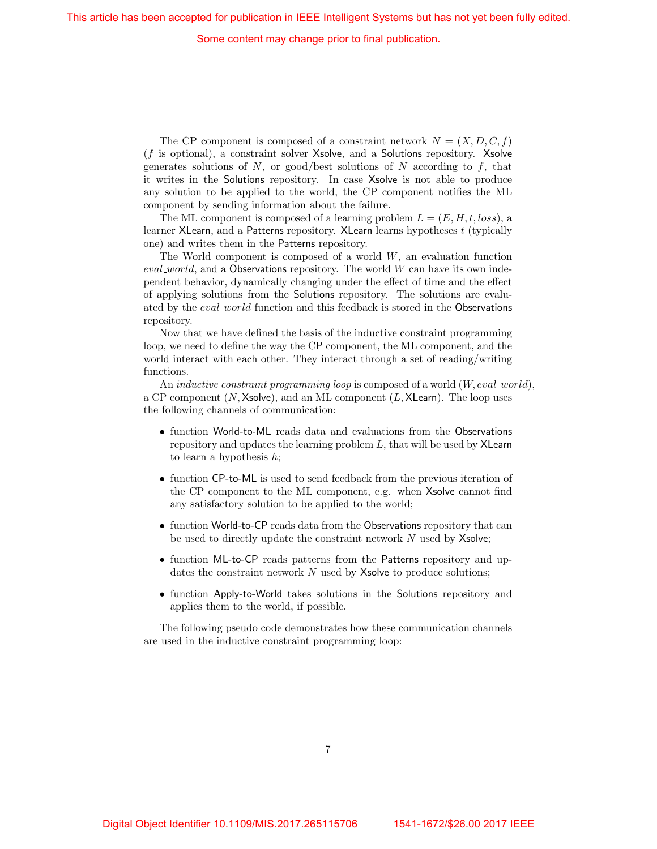Some content may change prior to final publication.

The CP component is composed of a constraint network  $N = (X, D, C, f)$  $(f$  is optional), a constraint solver Xsolve, and a Solutions repository. Xsolve generates solutions of N, or good/best solutions of N according to f, that it writes in the Solutions repository. In case Xsolve is not able to produce any solution to be applied to the world, the CP component notifies the ML component by sending information about the failure.

The ML component is composed of a learning problem  $L = (E, H, t, loss)$ , a learner XLearn, and a Patterns repository. XLearn learns hypotheses t (typically one) and writes them in the Patterns repository.

The World component is composed of a world  $W$ , an evaluation function eval world, and a Observations repository. The world  $W$  can have its own independent behavior, dynamically changing under the effect of time and the effect of applying solutions from the Solutions repository. The solutions are evaluated by the *eval world* function and this feedback is stored in the Observations repository.

Now that we have defined the basis of the inductive constraint programming loop, we need to define the way the CP component, the ML component, and the world interact with each other. They interact through a set of reading/writing functions.

An inductive constraint programming loop is composed of a world  $(W, eval\_world)$ , a CP component  $(N, Xsolve)$ , and an ML component  $(L, XLearn)$ . The loop uses the following channels of communication:

- function World-to-ML reads data and evaluations from the Observations repository and updates the learning problem  $L$ , that will be used by  $X$ Learn to learn a hypothesis  $h$ ;
- function CP-to-ML is used to send feedback from the previous iteration of the CP component to the ML component, e.g. when Xsolve cannot find any satisfactory solution to be applied to the world;
- function World-to-CP reads data from the Observations repository that can be used to directly update the constraint network  $N$  used by Xsolve;
- function ML-to-CP reads patterns from the Patterns repository and updates the constraint network  $N$  used by Xsolve to produce solutions;
- function Apply-to-World takes solutions in the Solutions repository and applies them to the world, if possible.

The following pseudo code demonstrates how these communication channels are used in the inductive constraint programming loop: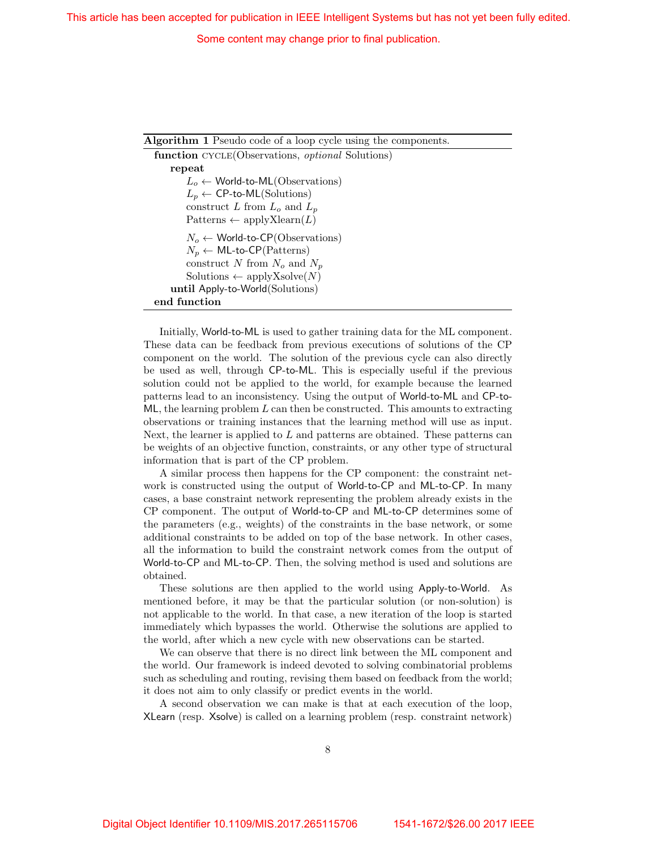Some content may change prior to final publication.

|  |  |  |  |  | Algorithm 1 Pseudo code of a loop cycle using the components. |
|--|--|--|--|--|---------------------------------------------------------------|
|  |  |  |  |  |                                                               |

| function CYCLE (Observations, <i>optional</i> Solutions) |  |  |  |  |  |
|----------------------------------------------------------|--|--|--|--|--|
| repeat                                                   |  |  |  |  |  |
| $L_o \leftarrow$ World-to-ML(Observations)               |  |  |  |  |  |
| $L_p \leftarrow$ CP-to-ML(Solutions)                     |  |  |  |  |  |
| construct L from $L_o$ and $L_p$                         |  |  |  |  |  |
| Patterns $\leftarrow$ applyXlearn(L)                     |  |  |  |  |  |
| $N_o \leftarrow$ World-to-CP(Observations)               |  |  |  |  |  |
| $N_p \leftarrow \text{ML-to-CP}(\text{Patterns})$        |  |  |  |  |  |
| construct N from $N_o$ and $N_p$                         |  |  |  |  |  |
| Solutions $\leftarrow$ applyXsolve(N)                    |  |  |  |  |  |
| until Apply-to-World (Solutions)                         |  |  |  |  |  |
| end function                                             |  |  |  |  |  |

Initially, World-to-ML is used to gather training data for the ML component. These data can be feedback from previous executions of solutions of the CP component on the world. The solution of the previous cycle can also directly be used as well, through CP-to-ML. This is especially useful if the previous solution could not be applied to the world, for example because the learned patterns lead to an inconsistency. Using the output of World-to-ML and CP-to- $ML$ , the learning problem L can then be constructed. This amounts to extracting observations or training instances that the learning method will use as input. Next, the learner is applied to  $L$  and patterns are obtained. These patterns can be weights of an objective function, constraints, or any other type of structural information that is part of the CP problem.

A similar process then happens for the CP component: the constraint network is constructed using the output of World-to-CP and ML-to-CP. In many cases, a base constraint network representing the problem already exists in the CP component. The output of World-to-CP and ML-to-CP determines some of the parameters (e.g., weights) of the constraints in the base network, or some additional constraints to be added on top of the base network. In other cases, all the information to build the constraint network comes from the output of World-to-CP and ML-to-CP. Then, the solving method is used and solutions are obtained.

These solutions are then applied to the world using Apply-to-World. As mentioned before, it may be that the particular solution (or non-solution) is not applicable to the world. In that case, a new iteration of the loop is started immediately which bypasses the world. Otherwise the solutions are applied to the world, after which a new cycle with new observations can be started.

We can observe that there is no direct link between the ML component and the world. Our framework is indeed devoted to solving combinatorial problems such as scheduling and routing, revising them based on feedback from the world; it does not aim to only classify or predict events in the world.

A second observation we can make is that at each execution of the loop, XLearn (resp. Xsolve) is called on a learning problem (resp. constraint network)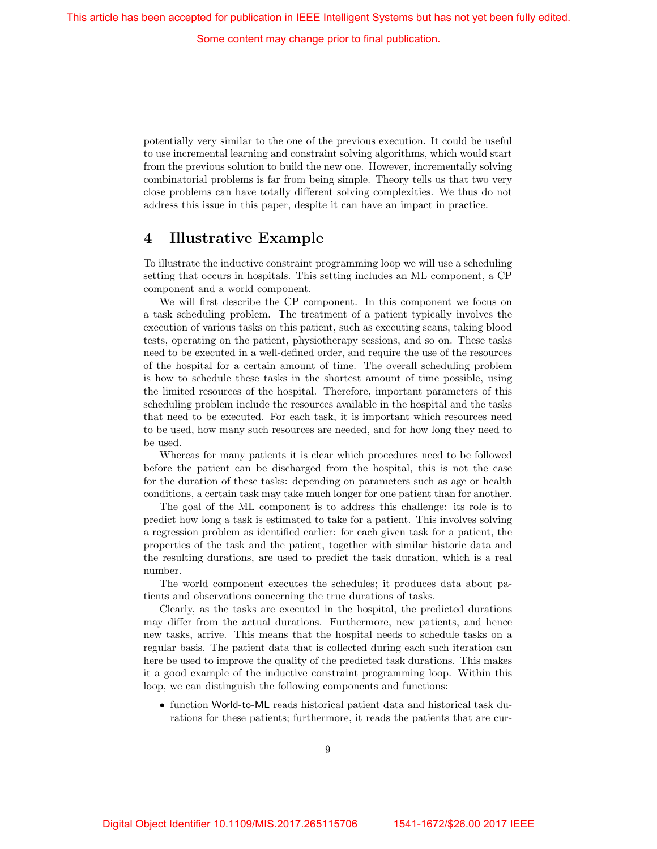potentially very similar to the one of the previous execution. It could be useful to use incremental learning and constraint solving algorithms, which would start from the previous solution to build the new one. However, incrementally solving combinatorial problems is far from being simple. Theory tells us that two very close problems can have totally different solving complexities. We thus do not address this issue in this paper, despite it can have an impact in practice.

## 4 Illustrative Example

To illustrate the inductive constraint programming loop we will use a scheduling setting that occurs in hospitals. This setting includes an ML component, a CP component and a world component.

We will first describe the CP component. In this component we focus on a task scheduling problem. The treatment of a patient typically involves the execution of various tasks on this patient, such as executing scans, taking blood tests, operating on the patient, physiotherapy sessions, and so on. These tasks need to be executed in a well-defined order, and require the use of the resources of the hospital for a certain amount of time. The overall scheduling problem is how to schedule these tasks in the shortest amount of time possible, using the limited resources of the hospital. Therefore, important parameters of this scheduling problem include the resources available in the hospital and the tasks that need to be executed. For each task, it is important which resources need to be used, how many such resources are needed, and for how long they need to be used.

Whereas for many patients it is clear which procedures need to be followed before the patient can be discharged from the hospital, this is not the case for the duration of these tasks: depending on parameters such as age or health conditions, a certain task may take much longer for one patient than for another.

The goal of the ML component is to address this challenge: its role is to predict how long a task is estimated to take for a patient. This involves solving a regression problem as identified earlier: for each given task for a patient, the properties of the task and the patient, together with similar historic data and the resulting durations, are used to predict the task duration, which is a real number.

The world component executes the schedules; it produces data about patients and observations concerning the true durations of tasks.

Clearly, as the tasks are executed in the hospital, the predicted durations may differ from the actual durations. Furthermore, new patients, and hence new tasks, arrive. This means that the hospital needs to schedule tasks on a regular basis. The patient data that is collected during each such iteration can here be used to improve the quality of the predicted task durations. This makes it a good example of the inductive constraint programming loop. Within this loop, we can distinguish the following components and functions:

• function World-to-ML reads historical patient data and historical task durations for these patients; furthermore, it reads the patients that are cur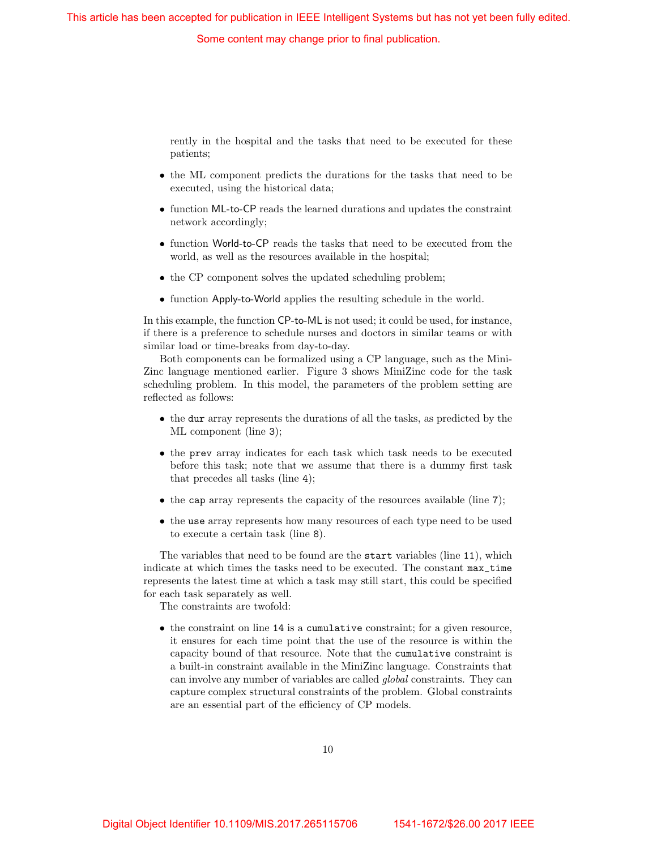rently in the hospital and the tasks that need to be executed for these patients;

- the ML component predicts the durations for the tasks that need to be executed, using the historical data;
- function ML-to-CP reads the learned durations and updates the constraint network accordingly;
- function World-to-CP reads the tasks that need to be executed from the world, as well as the resources available in the hospital;
- the CP component solves the updated scheduling problem;
- function Apply-to-World applies the resulting schedule in the world.

In this example, the function CP-to-ML is not used; it could be used, for instance, if there is a preference to schedule nurses and doctors in similar teams or with similar load or time-breaks from day-to-day.

Both components can be formalized using a CP language, such as the Mini-Zinc language mentioned earlier. Figure 3 shows MiniZinc code for the task scheduling problem. In this model, the parameters of the problem setting are reflected as follows:

- the dur array represents the durations of all the tasks, as predicted by the ML component (line 3);
- the prev array indicates for each task which task needs to be executed before this task; note that we assume that there is a dummy first task that precedes all tasks (line 4);
- the cap array represents the capacity of the resources available (line 7);
- the use array represents how many resources of each type need to be used to execute a certain task (line 8).

The variables that need to be found are the start variables (line 11), which indicate at which times the tasks need to be executed. The constant max\_time represents the latest time at which a task may still start, this could be specified for each task separately as well.

The constraints are twofold:

• the constraint on line 14 is a cumulative constraint; for a given resource, it ensures for each time point that the use of the resource is within the capacity bound of that resource. Note that the cumulative constraint is a built-in constraint available in the MiniZinc language. Constraints that can involve any number of variables are called global constraints. They can capture complex structural constraints of the problem. Global constraints are an essential part of the efficiency of CP models.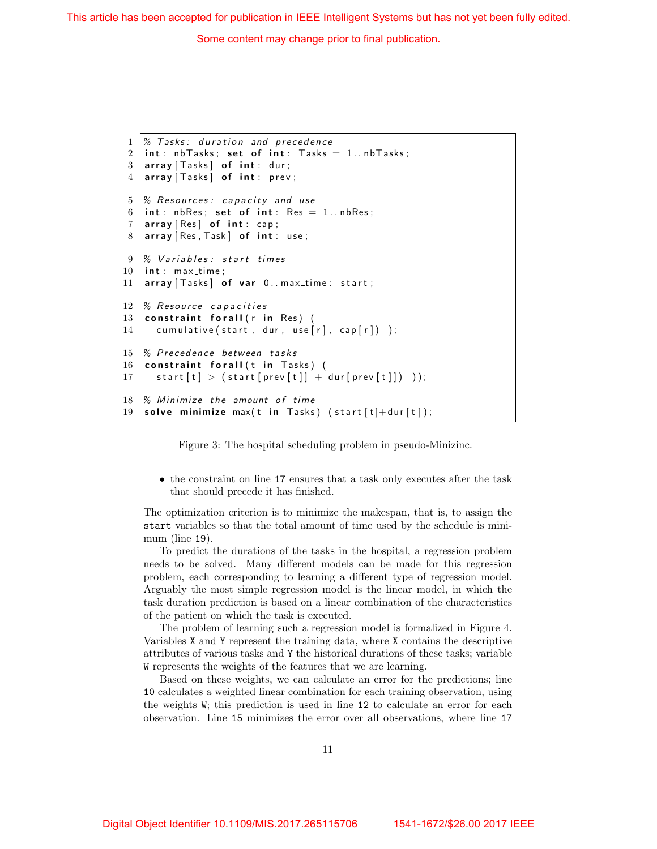Some content may change prior to final publication.

```
1 |% Tasks: duration and precedence
2 | int : nbTasks; set of int : Tasks = 1.. nbTasks;
3 array [Tasks] of int: dur;
4 array [Tasks] of int: prev;
5 \% Resources: capacity and use
6 | int : nbRes; set of int : Res = 1.. nbRes;
7 \mid array[Res] of int: cap;
8 array [Res, Task] of int: use;
9 % V a r i a b l e s : s t a r t t im e s
10 | int : max_time;
11 \vert array [Tasks] of var 0.. max_time: start;
12 | % Resource capacities
13 | constraint for all (r in Res) (14 | cumulative (start, dur, use [r], cap[r]) );
15 | % Precedence between tasks
16 | constraint for all (t in Tasks) (
17 | start [t] > (start[prev[t]] + dur[prev[t]]) ));
18 % Minimize the amount of time
19 solve minimize max(t in Tasks) (start[t]+dur[t]);
```
Figure 3: The hospital scheduling problem in pseudo-Minizinc.

• the constraint on line 17 ensures that a task only executes after the task that should precede it has finished.

The optimization criterion is to minimize the makespan, that is, to assign the start variables so that the total amount of time used by the schedule is minimum (line 19).

To predict the durations of the tasks in the hospital, a regression problem needs to be solved. Many different models can be made for this regression problem, each corresponding to learning a different type of regression model. Arguably the most simple regression model is the linear model, in which the task duration prediction is based on a linear combination of the characteristics of the patient on which the task is executed.

The problem of learning such a regression model is formalized in Figure 4. Variables X and Y represent the training data, where X contains the descriptive attributes of various tasks and Y the historical durations of these tasks; variable W represents the weights of the features that we are learning.

Based on these weights, we can calculate an error for the predictions; line 10 calculates a weighted linear combination for each training observation, using the weights W; this prediction is used in line 12 to calculate an error for each observation. Line 15 minimizes the error over all observations, where line 17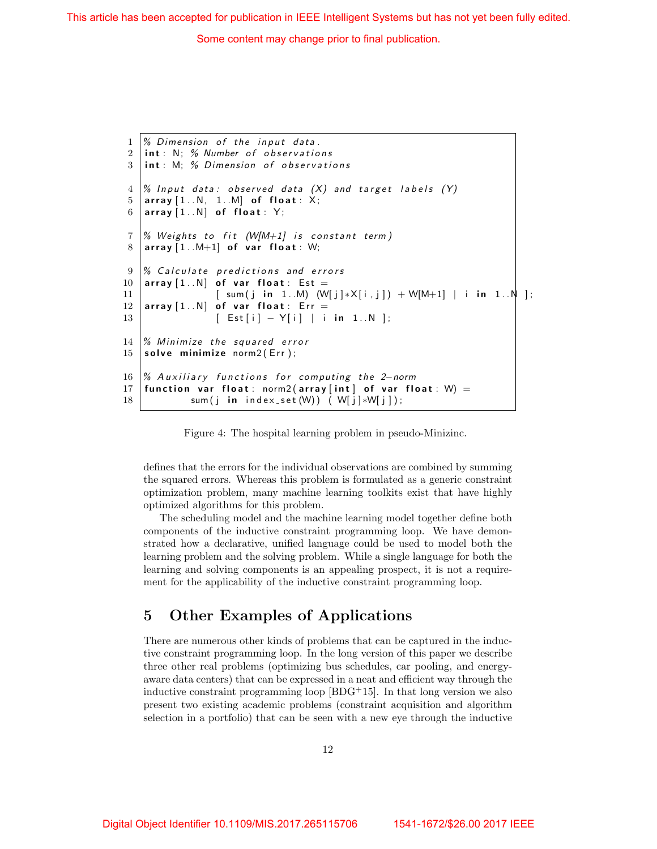Some content may change prior to final publication.

```
1 % Dimension of the input data.
2 int: N; % Number of observations
3 int: M; % Dimension of observations
4 % Input data: observed data (X) and target labels (Y)
5 array [1..N, 1..M] of float: X;
6 array [1..N] of float: Y;
7 \mid \% Weights to fit (W[M+1] is constant term)
8 | array [1..M+1] of var float: W;
9 % Calculate predictions and errors
10 array [1..N] of var float: Est =
11 [ sum ( j in 1..M) (W[j]*X[i,j]) + W[M+1] | i in 1..N ];
12 \vert array [1..N] of var float: Err =
13 [Est[i] - Y[i] | in 1..N];14 | % Minimize the squared error
15 solve minimize norm2(Err);
16 <sup>%</sup> Auxiliary functions for computing the 2-norm
17 | function var float: norm2 (array [int] of var float: W) =
18 | sum(j in index_set (W)) ( W[j] * W[j]);
```
Figure 4: The hospital learning problem in pseudo-Minizinc.

defines that the errors for the individual observations are combined by summing the squared errors. Whereas this problem is formulated as a generic constraint optimization problem, many machine learning toolkits exist that have highly optimized algorithms for this problem.

The scheduling model and the machine learning model together define both components of the inductive constraint programming loop. We have demonstrated how a declarative, unified language could be used to model both the learning problem and the solving problem. While a single language for both the learning and solving components is an appealing prospect, it is not a requirement for the applicability of the inductive constraint programming loop.

## 5 Other Examples of Applications

There are numerous other kinds of problems that can be captured in the inductive constraint programming loop. In the long version of this paper we describe three other real problems (optimizing bus schedules, car pooling, and energyaware data centers) that can be expressed in a neat and efficient way through the inductive constraint programming loop [BDG<sup>+</sup>15]. In that long version we also present two existing academic problems (constraint acquisition and algorithm selection in a portfolio) that can be seen with a new eye through the inductive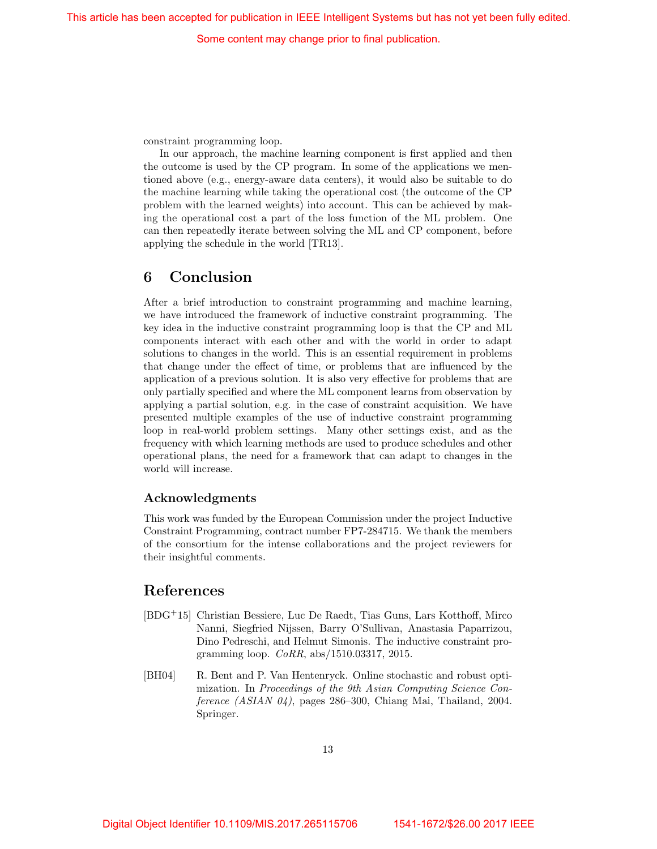Some content may change prior to final publication.

constraint programming loop.

In our approach, the machine learning component is first applied and then the outcome is used by the CP program. In some of the applications we mentioned above (e.g., energy-aware data centers), it would also be suitable to do the machine learning while taking the operational cost (the outcome of the CP problem with the learned weights) into account. This can be achieved by making the operational cost a part of the loss function of the ML problem. One can then repeatedly iterate between solving the ML and CP component, before applying the schedule in the world [TR13].

### 6 Conclusion

After a brief introduction to constraint programming and machine learning, we have introduced the framework of inductive constraint programming. The key idea in the inductive constraint programming loop is that the CP and ML components interact with each other and with the world in order to adapt solutions to changes in the world. This is an essential requirement in problems that change under the effect of time, or problems that are influenced by the application of a previous solution. It is also very effective for problems that are only partially specified and where the ML component learns from observation by applying a partial solution, e.g. in the case of constraint acquisition. We have presented multiple examples of the use of inductive constraint programming loop in real-world problem settings. Many other settings exist, and as the frequency with which learning methods are used to produce schedules and other operational plans, the need for a framework that can adapt to changes in the world will increase.

### Acknowledgments

This work was funded by the European Commission under the project Inductive Constraint Programming, contract number FP7-284715. We thank the members of the consortium for the intense collaborations and the project reviewers for their insightful comments.

## References

- [BDG<sup>+</sup>15] Christian Bessiere, Luc De Raedt, Tias Guns, Lars Kotthoff, Mirco Nanni, Siegfried Nijssen, Barry O'Sullivan, Anastasia Paparrizou, Dino Pedreschi, and Helmut Simonis. The inductive constraint programming loop. CoRR, abs/1510.03317, 2015.
- [BH04] R. Bent and P. Van Hentenryck. Online stochastic and robust optimization. In Proceedings of the 9th Asian Computing Science Conference (ASIAN  $04$ ), pages 286–300, Chiang Mai, Thailand, 2004. Springer.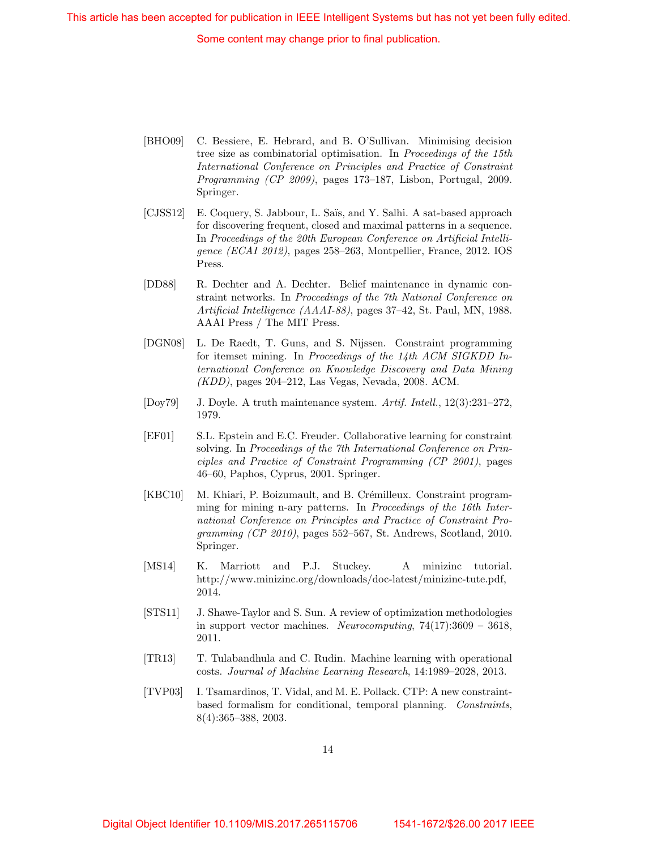This article has been accepted for publication in IEEE Intelligent Systems but has not yet been fully edited. Some content may change prior to final publication.

- [BHO09] C. Bessiere, E. Hebrard, and B. O'Sullivan. Minimising decision tree size as combinatorial optimisation. In Proceedings of the 15th International Conference on Principles and Practice of Constraint Programming (CP 2009), pages 173–187, Lisbon, Portugal, 2009. Springer.
- [CJSS12] E. Coquery, S. Jabbour, L. Saïs, and Y. Salhi. A sat-based approach for discovering frequent, closed and maximal patterns in a sequence. In Proceedings of the 20th European Conference on Artificial Intelligence (ECAI 2012), pages 258–263, Montpellier, France, 2012. IOS Press.
- [DD88] R. Dechter and A. Dechter. Belief maintenance in dynamic constraint networks. In Proceedings of the 7th National Conference on Artificial Intelligence (AAAI-88), pages 37–42, St. Paul, MN, 1988. AAAI Press / The MIT Press.
- [DGN08] L. De Raedt, T. Guns, and S. Nijssen. Constraint programming for itemset mining. In Proceedings of the 14th ACM SIGKDD International Conference on Knowledge Discovery and Data Mining (KDD), pages 204–212, Las Vegas, Nevada, 2008. ACM.
- [Doy79] J. Doyle. A truth maintenance system. Artif. Intell., 12(3):231–272, 1979.
- [EF01] S.L. Epstein and E.C. Freuder. Collaborative learning for constraint solving. In Proceedings of the 7th International Conference on Principles and Practice of Constraint Programming (CP 2001), pages 46–60, Paphos, Cyprus, 2001. Springer.
- [KBC10] M. Khiari, P. Boizumault, and B. Crémilleux. Constraint programming for mining n-ary patterns. In Proceedings of the 16th International Conference on Principles and Practice of Constraint Programming  $(CP 2010)$ , pages 552–567, St. Andrews, Scotland, 2010. Springer.
- [MS14] K. Marriott and P.J. Stuckey. A minizinc tutorial. http://www.minizinc.org/downloads/doc-latest/minizinc-tute.pdf, 2014.
- [STS11] J. Shawe-Taylor and S. Sun. A review of optimization methodologies in support vector machines. Neurocomputing,  $74(17):3609 - 3618$ , 2011.
- [TR13] T. Tulabandhula and C. Rudin. Machine learning with operational costs. Journal of Machine Learning Research, 14:1989–2028, 2013.
- [TVP03] I. Tsamardinos, T. Vidal, and M. E. Pollack. CTP: A new constraintbased formalism for conditional, temporal planning. Constraints, 8(4):365–388, 2003.